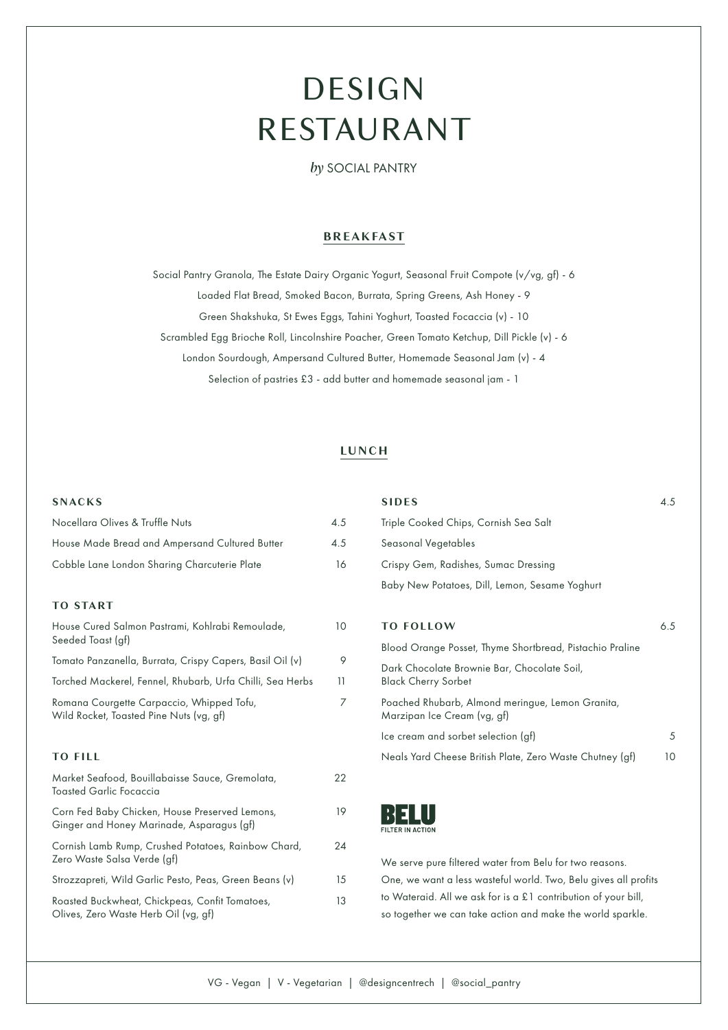# DESIGN RESTAURANT

*by* SOCIAL PANTRY

# **BREAKFAST**

Social Pantry Granola, The Estate Dairy Organic Yogurt, Seasonal Fruit Compote (v/vg, gf) - 6 Loaded Flat Bread, Smoked Bacon, Burrata, Spring Greens, Ash Honey - 9 Green Shakshuka, St Ewes Eggs, Tahini Yoghurt, Toasted Focaccia (v) - 10 Scrambled Egg Brioche Roll, Lincolnshire Poacher, Green Tomato Ketchup, Dill Pickle (v) - 6 London Sourdough, Ampersand Cultured Butter, Homemade Seasonal Jam (v) - 4 Selection of pastries £3 - add butter and homemade seasonal jam - 1

## **LUNCH**

## **SNACKS**

| Nocellara Olives & Truffle Nuts                | 4.5 |
|------------------------------------------------|-----|
| House Made Bread and Ampersand Cultured Butter | 4.5 |
| Cobble Lane London Sharing Charcuterie Plate   | 16  |

## **TO START**

| House Cured Salmon Pastrami, Kohlrabi Remoulade,<br>Seeded Toast (gf)                       | 10 |
|---------------------------------------------------------------------------------------------|----|
| Tomato Panzanella, Burrata, Crispy Capers, Basil Oil (v)                                    | 9  |
| Torched Mackerel, Fennel, Rhubarb, Urfa Chilli, Sea Herbs                                   | 11 |
| Romana Courgette Carpaccio, Whipped Tofu,<br>Wild Rocket, Toasted Pine Nuts (vg, gf)        |    |
| <b>TO FILL</b>                                                                              |    |
| Market Seafood, Bouillabaisse Sauce, Gremolata,<br><b>Toasted Garlic Focaccia</b>           | 22 |
| Corn Fed Baby Chicken, House Preserved Lemons,<br>Ginger and Honey Marinade, Asparagus (gf) | 19 |
| Cornish Lamb Rump, Crushed Potatoes, Rainbow Chard,<br>Zero Waste Salsa Verde (gf)          | 24 |
| Strozzapreti, Wild Garlic Pesto, Peas, Green Beans (v)                                      | 15 |
| Roasted Buckwheat, Chickpeas, Confit Tomatoes,<br>Olives, Zero Waste Herb Oil (vg, gf)      | 13 |

| <b>SIDES</b>                                                                    | 4.5 |
|---------------------------------------------------------------------------------|-----|
| Triple Cooked Chips, Cornish Sea Salt                                           |     |
| Seasonal Vegetables                                                             |     |
| Crispy Gem, Radishes, Sumac Dressing                                            |     |
| Baby New Potatoes, Dill, Lemon, Sesame Yoghurt                                  |     |
|                                                                                 |     |
| <b>TO FOLLOW</b>                                                                | 6.5 |
| Blood Orange Posset, Thyme Shortbread, Pistachio Praline                        |     |
| Dark Chocolate Brownie Bar, Chocolate Soil,<br><b>Black Cherry Sorbet</b>       |     |
| Poached Rhubarb, Almond meringue, Lemon Granita,<br>Marzipan Ice Cream (vg, gf) |     |
| Ice cream and sorbet selection (gf)                                             | .5  |

Neals Yard Cheese British Plate, Zero Waste Chutney (gf) 10



We serve pure filtered water from Belu for two reasons. One, we want a less wasteful world. Two, Belu gives all profits to Wateraid. All we ask for is a £1 contribution of your bill, so together we can take action and make the world sparkle.